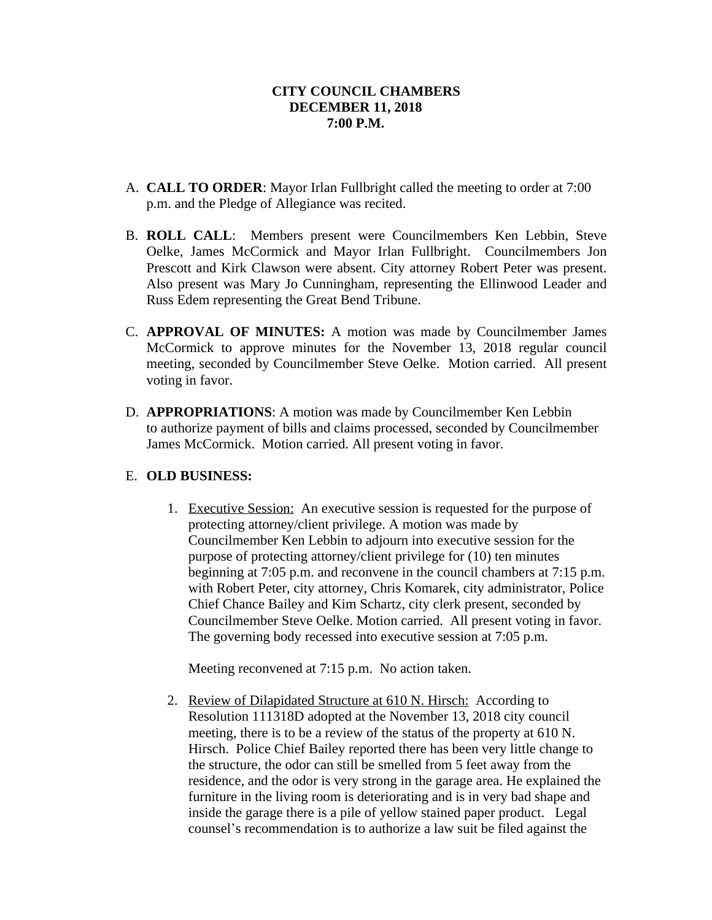- A. **CALL TO ORDER**: Mayor Irlan Fullbright called the meeting to order at 7:00 p.m. and the Pledge of Allegiance was recited.
- B. **ROLL CALL**: Members present were Councilmembers Ken Lebbin, Steve Oelke, James McCormick and Mayor Irlan Fullbright. Councilmembers Jon Prescott and Kirk Clawson were absent. City attorney Robert Peter was present. Also present was Mary Jo Cunningham, representing the Ellinwood Leader and Russ Edem representing the Great Bend Tribune.
- C. **APPROVAL OF MINUTES:** A motion was made by Councilmember James McCormick to approve minutes for the November 13, 2018 regular council meeting, seconded by Councilmember Steve Oelke. Motion carried. All present voting in favor.
- D. **APPROPRIATIONS**: A motion was made by Councilmember Ken Lebbin to authorize payment of bills and claims processed, seconded by Councilmember James McCormick. Motion carried. All present voting in favor.

# E. **OLD BUSINESS:**

1. Executive Session: An executive session is requested for the purpose of protecting attorney/client privilege. A motion was made by Councilmember Ken Lebbin to adjourn into executive session for the purpose of protecting attorney/client privilege for (10) ten minutes beginning at 7:05 p.m. and reconvene in the council chambers at 7:15 p.m. with Robert Peter, city attorney, Chris Komarek, city administrator, Police Chief Chance Bailey and Kim Schartz, city clerk present, seconded by Councilmember Steve Oelke. Motion carried. All present voting in favor. The governing body recessed into executive session at 7:05 p.m.

Meeting reconvened at 7:15 p.m. No action taken.

2. Review of Dilapidated Structure at 610 N. Hirsch: According to Resolution 111318D adopted at the November 13, 2018 city council meeting, there is to be a review of the status of the property at 610 N. Hirsch. Police Chief Bailey reported there has been very little change to the structure, the odor can still be smelled from 5 feet away from the residence, and the odor is very strong in the garage area. He explained the furniture in the living room is deteriorating and is in very bad shape and inside the garage there is a pile of yellow stained paper product. Legal counsel's recommendation is to authorize a law suit be filed against the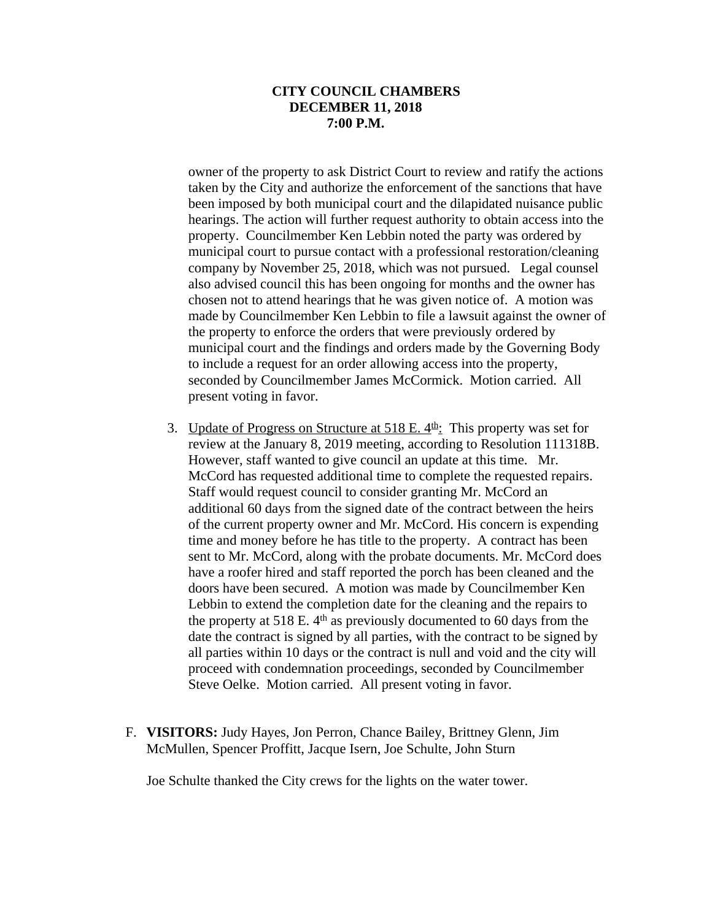owner of the property to ask District Court to review and ratify the actions taken by the City and authorize the enforcement of the sanctions that have been imposed by both municipal court and the dilapidated nuisance public hearings. The action will further request authority to obtain access into the property. Councilmember Ken Lebbin noted the party was ordered by municipal court to pursue contact with a professional restoration/cleaning company by November 25, 2018, which was not pursued. Legal counsel also advised council this has been ongoing for months and the owner has chosen not to attend hearings that he was given notice of. A motion was made by Councilmember Ken Lebbin to file a lawsuit against the owner of the property to enforce the orders that were previously ordered by municipal court and the findings and orders made by the Governing Body to include a request for an order allowing access into the property, seconded by Councilmember James McCormick. Motion carried. All present voting in favor.

- 3. Update of Progress on Structure at  $518$  E.  $4<sup>th</sup>$ . This property was set for review at the January 8, 2019 meeting, according to Resolution 111318B. However, staff wanted to give council an update at this time. Mr. McCord has requested additional time to complete the requested repairs. Staff would request council to consider granting Mr. McCord an additional 60 days from the signed date of the contract between the heirs of the current property owner and Mr. McCord. His concern is expending time and money before he has title to the property. A contract has been sent to Mr. McCord, along with the probate documents. Mr. McCord does have a roofer hired and staff reported the porch has been cleaned and the doors have been secured. A motion was made by Councilmember Ken Lebbin to extend the completion date for the cleaning and the repairs to the property at  $518$  E.  $4<sup>th</sup>$  as previously documented to 60 days from the date the contract is signed by all parties, with the contract to be signed by all parties within 10 days or the contract is null and void and the city will proceed with condemnation proceedings, seconded by Councilmember Steve Oelke. Motion carried. All present voting in favor.
- F. **VISITORS:** Judy Hayes, Jon Perron, Chance Bailey, Brittney Glenn, Jim McMullen, Spencer Proffitt, Jacque Isern, Joe Schulte, John Sturn

Joe Schulte thanked the City crews for the lights on the water tower.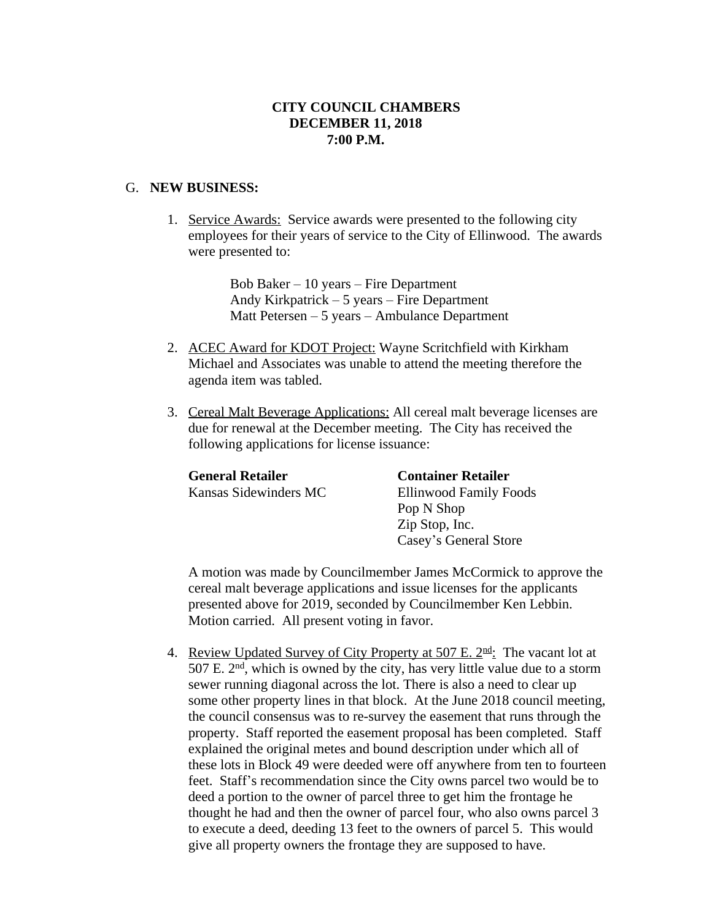#### G. **NEW BUSINESS:**

1. Service Awards: Service awards were presented to the following city employees for their years of service to the City of Ellinwood. The awards were presented to:

> Bob Baker – 10 years – Fire Department Andy Kirkpatrick – 5 years – Fire Department Matt Petersen – 5 years – Ambulance Department

- 2. ACEC Award for KDOT Project: Wayne Scritchfield with Kirkham Michael and Associates was unable to attend the meeting therefore the agenda item was tabled.
- 3. Cereal Malt Beverage Applications: All cereal malt beverage licenses are due for renewal at the December meeting. The City has received the following applications for license issuance:

**General Retailer Container Retailer**

Kansas Sidewinders MC Ellinwood Family Foods Pop N Shop Zip Stop, Inc. Casey's General Store

A motion was made by Councilmember James McCormick to approve the cereal malt beverage applications and issue licenses for the applicants presented above for 2019, seconded by Councilmember Ken Lebbin. Motion carried. All present voting in favor.

4. Review Updated Survey of City Property at 507 E. 2<sup>nd</sup>: The vacant lot at 507 E. 2nd , which is owned by the city, has very little value due to a storm sewer running diagonal across the lot. There is also a need to clear up some other property lines in that block. At the June 2018 council meeting, the council consensus was to re-survey the easement that runs through the property. Staff reported the easement proposal has been completed. Staff explained the original metes and bound description under which all of these lots in Block 49 were deeded were off anywhere from ten to fourteen feet. Staff's recommendation since the City owns parcel two would be to deed a portion to the owner of parcel three to get him the frontage he thought he had and then the owner of parcel four, who also owns parcel 3 to execute a deed, deeding 13 feet to the owners of parcel 5. This would give all property owners the frontage they are supposed to have.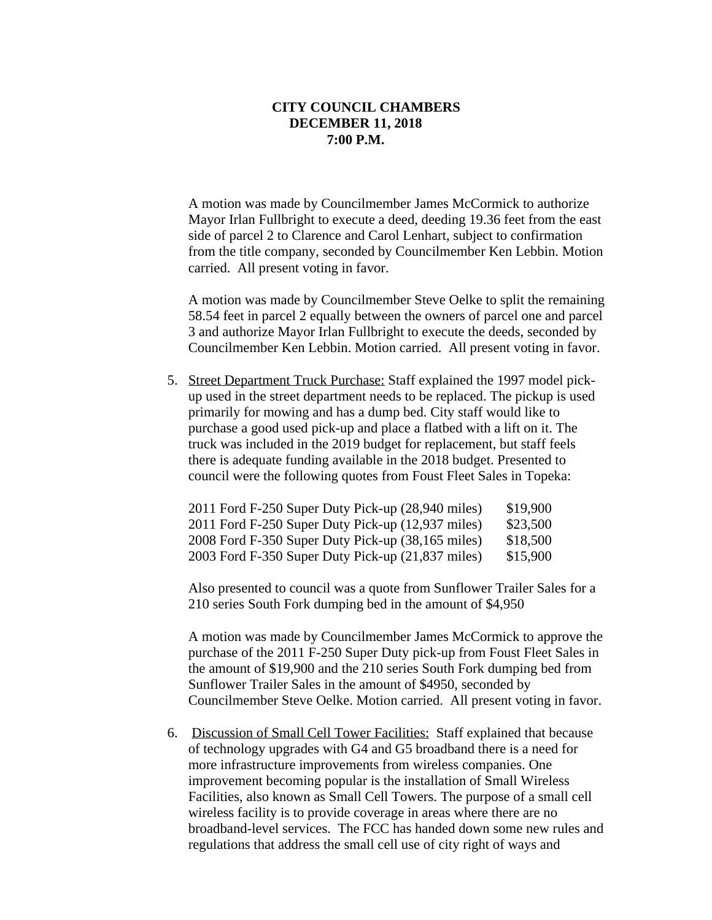A motion was made by Councilmember James McCormick to authorize Mayor Irlan Fullbright to execute a deed, deeding 19.36 feet from the east side of parcel 2 to Clarence and Carol Lenhart, subject to confirmation from the title company, seconded by Councilmember Ken Lebbin. Motion carried. All present voting in favor.

A motion was made by Councilmember Steve Oelke to split the remaining 58.54 feet in parcel 2 equally between the owners of parcel one and parcel 3 and authorize Mayor Irlan Fullbright to execute the deeds, seconded by Councilmember Ken Lebbin. Motion carried. All present voting in favor.

5. Street Department Truck Purchase: Staff explained the 1997 model pickup used in the street department needs to be replaced. The pickup is used primarily for mowing and has a dump bed. City staff would like to purchase a good used pick-up and place a flatbed with a lift on it. The truck was included in the 2019 budget for replacement, but staff feels there is adequate funding available in the 2018 budget. Presented to council were the following quotes from Foust Fleet Sales in Topeka:

| 2011 Ford F-250 Super Duty Pick-up (28,940 miles) | \$19,900 |
|---------------------------------------------------|----------|
| 2011 Ford F-250 Super Duty Pick-up (12,937 miles) | \$23,500 |
| 2008 Ford F-350 Super Duty Pick-up (38,165 miles) | \$18,500 |
| 2003 Ford F-350 Super Duty Pick-up (21,837 miles) | \$15,900 |

Also presented to council was a quote from Sunflower Trailer Sales for a 210 series South Fork dumping bed in the amount of \$4,950

A motion was made by Councilmember James McCormick to approve the purchase of the 2011 F-250 Super Duty pick-up from Foust Fleet Sales in the amount of \$19,900 and the 210 series South Fork dumping bed from Sunflower Trailer Sales in the amount of \$4950, seconded by Councilmember Steve Oelke. Motion carried. All present voting in favor.

6. Discussion of Small Cell Tower Facilities: Staff explained that because of technology upgrades with G4 and G5 broadband there is a need for more infrastructure improvements from wireless companies. One improvement becoming popular is the installation of Small Wireless Facilities, also known as Small Cell Towers. The purpose of a small cell wireless facility is to provide coverage in areas where there are no broadband-level services. The FCC has handed down some new rules and regulations that address the small cell use of city right of ways and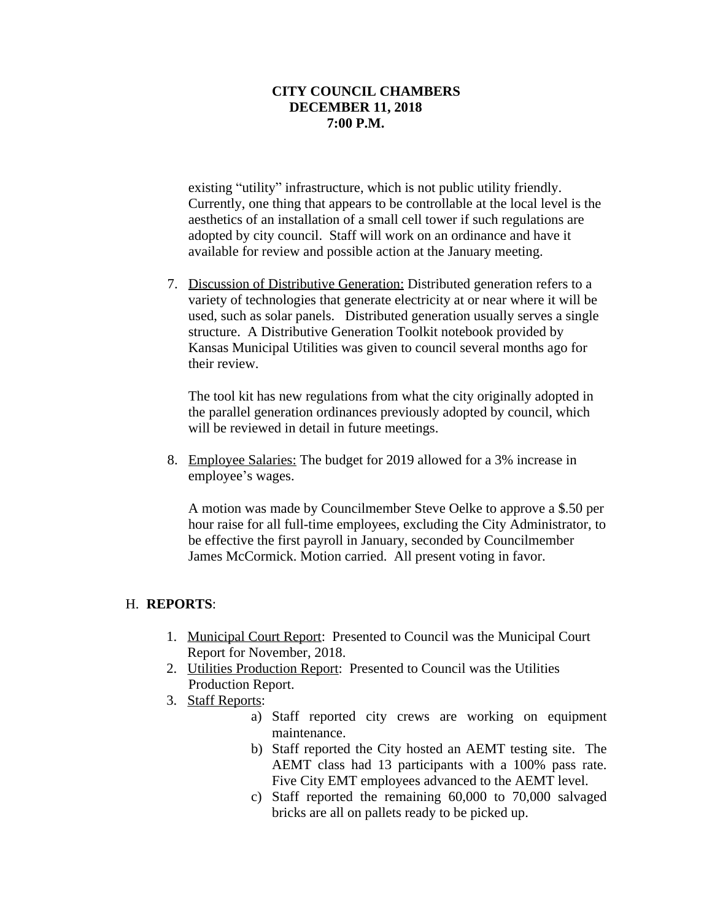existing "utility" infrastructure, which is not public utility friendly. Currently, one thing that appears to be controllable at the local level is the aesthetics of an installation of a small cell tower if such regulations are adopted by city council. Staff will work on an ordinance and have it available for review and possible action at the January meeting.

7. Discussion of Distributive Generation: Distributed generation refers to a variety of technologies that generate electricity at or near where it will be used, such as solar panels. Distributed generation usually serves a single structure. A Distributive Generation Toolkit notebook provided by Kansas Municipal Utilities was given to council several months ago for their review.

The tool kit has new regulations from what the city originally adopted in the parallel generation ordinances previously adopted by council, which will be reviewed in detail in future meetings.

8. Employee Salaries: The budget for 2019 allowed for a 3% increase in employee's wages.

A motion was made by Councilmember Steve Oelke to approve a \$.50 per hour raise for all full-time employees, excluding the City Administrator, to be effective the first payroll in January, seconded by Councilmember James McCormick. Motion carried. All present voting in favor.

## H. **REPORTS**:

- 1. Municipal Court Report: Presented to Council was the Municipal Court Report for November, 2018.
- 2. Utilities Production Report: Presented to Council was the Utilities Production Report.
- 3. Staff Reports:
	- a) Staff reported city crews are working on equipment maintenance.
	- b) Staff reported the City hosted an AEMT testing site. The AEMT class had 13 participants with a 100% pass rate. Five City EMT employees advanced to the AEMT level.
	- c) Staff reported the remaining 60,000 to 70,000 salvaged bricks are all on pallets ready to be picked up.